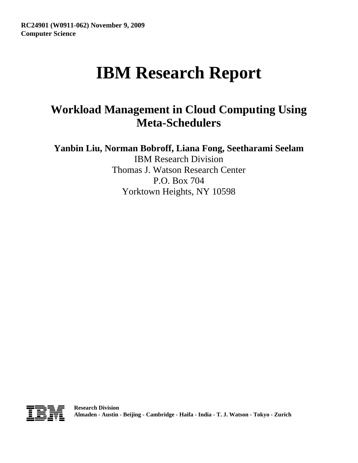# **IBM Research Report**

# **Workload Management in Cloud Computing Using Meta-Schedulers**

**Yanbin Liu, Norman Bobroff, Liana Fong, Seetharami Seelam**

IBM Research Division Thomas J. Watson Research Center P.O. Box 704 Yorktown Heights, NY 10598

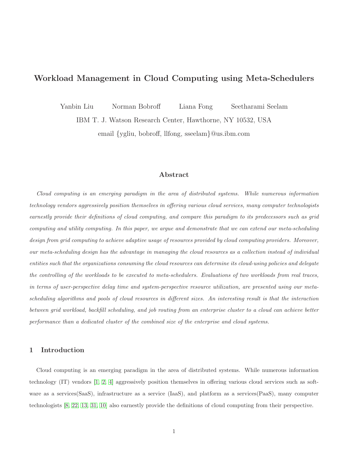# Workload Management in Cloud Computing using Meta-Schedulers

Yanbin Liu Norman Bobroff Liana Fong Seetharami Seelam

IBM T. J. Watson Research Center, Hawthorne, NY 10532, USA

email {ygliu, bobroff, llfong, sseelam}@us.ibm.com

# Abstract

Cloud computing is an emerging paradigm in the area of distributed systems. While numerous information technology vendors aggressively position themselves in offering various cloud services, many computer technologists earnestly provide their definitions of cloud computing, and compare this paradigm to its predecessors such as grid computing and utility computing. In this paper, we argue and demonstrate that we can extend our meta-scheduling design from grid computing to achieve adaptive usage of resources provided by cloud computing providers. Moreover, our meta-scheduling design has the advantage in managing the cloud resources as a collection instead of individual entities such that the organizations consuming the cloud resources can determine its cloud-using policies and delegate the controlling of the workloads to be executed to meta-schedulers. Evaluations of two workloads from real traces, in terms of user-perspective delay time and system-perspective resource utilization, are presented using our metascheduling algorithms and pools of cloud resources in different sizes. An interesting result is that the interaction between grid workload, backfill scheduling, and job routing from an enterprise cluster to a cloud can achieve better performance than a dedicated cluster of the combined size of the enterprise and cloud systems.

### 1 Introduction

Cloud computing is an emerging paradigm in the area of distributed systems. While numerous information technology (IT) vendors [\[1,](#page-16-0) [2,](#page-16-1) [4\]](#page-16-2) aggressively position themselves in offering various cloud services such as software as a services(SaaS), infrastructure as a service (IaaS), and platform as a services(PaaS), many computer technologists [\[8,](#page-16-3) [22,](#page-17-0) [13,](#page-16-4) [31,](#page-17-1) [10\]](#page-16-5) also earnestly provide the definitions of cloud computing from their perspective.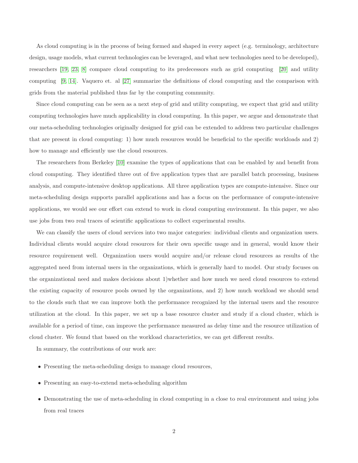As cloud computing is in the process of being formed and shaped in every aspect (e.g. terminology, architecture design, usage models, what current technologies can be leveraged, and what new technologies need to be developed), researchers [\[19,](#page-17-2) [23,](#page-17-3) [8\]](#page-16-3) compare cloud computing to its predecessors such as grid computing [\[20\]](#page-17-4) and utility computing [\[9,](#page-16-6) [14\]](#page-16-7). Vaquero et. al [\[27\]](#page-17-5) summarize the definitions of cloud computing and the comparison with grids from the material published thus far by the computing community.

Since cloud computing can be seen as a next step of grid and utility computing, we expect that grid and utility computing technologies have much applicability in cloud computing. In this paper, we argue and demonstrate that our meta-scheduling technologies originally designed for grid can be extended to address two particular challenges that are present in cloud computing: 1) how much resources would be beneficial to the specific workloads and 2) how to manage and efficiently use the cloud resources.

The researchers from Berkeley [\[10\]](#page-16-5) examine the types of applications that can be enabled by and benefit from cloud computing. They identified three out of five application types that are parallel batch processing, business analysis, and compute-intensive desktop applications. All three application types are compute-intensive. Since our meta-scheduling design supports parallel applications and has a focus on the performance of compute-intensive applications, we would see our effort can extend to work in cloud computing environment. In this paper, we also use jobs from two real traces of scientific applications to collect experimental results.

We can classify the users of cloud services into two major categories: individual clients and organization users. Individual clients would acquire cloud resources for their own specific usage and in general, would know their resource requirement well. Organization users would acquire and/or release cloud resources as results of the aggregated need from internal users in the organizations, which is generally hard to model. Our study focuses on the organizational need and makes decisions about 1)whether and how much we need cloud resources to extend the existing capacity of resource pools owned by the organizations, and 2) how much workload we should send to the clouds such that we can improve both the performance recognized by the internal users and the resource utilization at the cloud. In this paper, we set up a base resource cluster and study if a cloud cluster, which is available for a period of time, can improve the performance measured as delay time and the resource utilization of cloud cluster. We found that based on the workload characteristics, we can get different results.

In summary, the contributions of our work are:

- Presenting the meta-scheduling design to manage cloud resources,
- Presenting an easy-to-extend meta-scheduling algorithm
- Demonstrating the use of meta-scheduling in cloud computing in a close to real environment and using jobs from real traces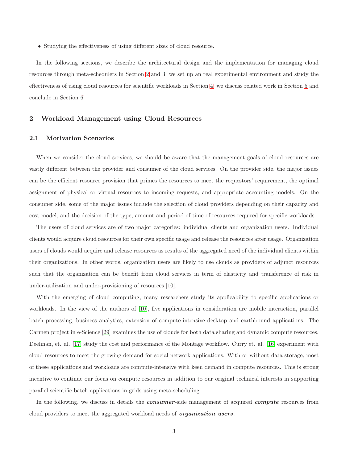• Studying the effectiveness of using different sizes of cloud resource.

In the following sections, we describe the architectural design and the implementation for managing cloud resources through meta-schedulers in Section [2](#page-3-0) and [3;](#page-5-0) we set up an real experimental environment and study the effectiveness of using cloud resources for scientific workloads in Section [4;](#page-8-0) we discuss related work in Section [5](#page-15-0) and conclude in Section [6.](#page-15-1)

# <span id="page-3-0"></span>2 Workload Management using Cloud Resources

#### 2.1 Motivation Scenarios

When we consider the cloud services, we should be aware that the management goals of cloud resources are vastly different between the provider and consumer of the cloud services. On the provider side, the major issues can be the efficient resource provision that primes the resources to meet the requestors' requirement, the optimal assignment of physical or virtual resources to incoming requests, and appropriate accounting models. On the consumer side, some of the major issues include the selection of cloud providers depending on their capacity and cost model, and the decision of the type, amount and period of time of resources required for specific workloads.

The users of cloud services are of two major categories: individual clients and organization users. Individual clients would acquire cloud resources for their own specific usage and release the resources after usage. Organization users of clouds would acquire and release resources as results of the aggregated need of the individual clients within their organizations. In other words, organization users are likely to use clouds as providers of adjunct resources such that the organization can be benefit from cloud services in term of elasticity and transference of risk in under-utilization and under-provisioning of resources [\[10\]](#page-16-5).

With the emerging of cloud computing, many researchers study its applicability to specific applications or workloads. In the view of the authors of [\[10\]](#page-16-5), five applications in consideration are mobile interaction, parallel batch processing, business analytics, extension of compute-intensive desktop and earthbound applications. The Carmen project in e-Science [\[29\]](#page-17-6) examines the use of clouds for both data sharing and dynamic compute resources. Deelman, et. al. [\[17\]](#page-16-8) study the cost and performance of the Montage workflow. Curry et. al. [\[16\]](#page-16-9) experiment with cloud resources to meet the growing demand for social network applications. With or without data storage, most of these applications and workloads are compute-intensive with keen demand in compute resources. This is strong incentive to continue our focus on compute resources in addition to our original technical interests in supporting parallel scientific batch applications in grids using meta-scheduling.

In the following, we discuss in details the **consumer-side** management of acquired **compute** resources from cloud providers to meet the aggregated workload needs of *organization users*.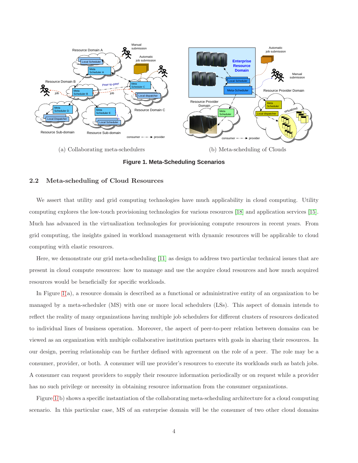

(a) Collaborating meta-schedulers

(b) Meta-scheduling of Clouds

<span id="page-4-0"></span>**Figure 1. Meta-Scheduling Scenarios**

#### 2.2 Meta-scheduling of Cloud Resources

We assert that utility and grid computing technologies have much applicability in cloud computing. Utility computing explores the low-touch provisioning technologies for various resources [\[18\]](#page-16-10) and application services [\[15\]](#page-16-11). Much has advanced in the virtualization technologies for provisioning compute resources in recent years. From grid computing, the insights gained in workload management with dynamic resources will be applicable to cloud computing with elastic resources.

Here, we demonstrate our grid meta-scheduling [\[11\]](#page-16-12) as design to address two particular technical issues that are present in cloud compute resources: how to manage and use the acquire cloud resources and how much acquired resources would be beneficially for specific workloads.

In Figure [1\(](#page-4-0)a), a resource domain is described as a functional or administrative entity of an organization to be managed by a meta-scheduler (MS) with one or more local schedulers (LSs). This aspect of domain intends to reflect the reality of many organizations having multiple job schedulers for different clusters of resources dedicated to individual lines of business operation. Moreover, the aspect of peer-to-peer relation between domains can be viewed as an organization with multiple collaborative institution partners with goals in sharing their resources. In our design, peering relationship can be further defined with agreement on the role of a peer. The role may be a consumer, provider, or both. A consumer will use provider's resources to execute its workloads such as batch jobs. A consumer can request providers to supply their resource information periodically or on request while a provider has no such privilege or necessity in obtaining resource information from the consumer organizations.

Figure [1\(](#page-4-0)b) shows a specific instantiation of the collaborating meta-scheduling architecture for a cloud computing scenario. In this particular case, MS of an enterprise domain will be the consumer of two other cloud domains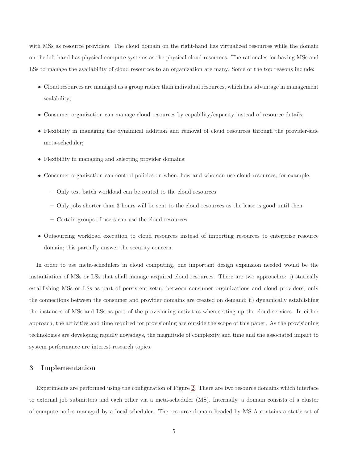with MSs as resource providers. The cloud domain on the right-hand has virtualized resources while the domain on the left-hand has physical compute systems as the physical cloud resources. The rationales for having MSs and LSs to manage the availability of cloud resources to an organization are many. Some of the top reasons include:

- Cloud resources are managed as a group rather than individual resources, which has advantage in management scalability;
- Consumer organization can manage cloud resources by capability/capacity instead of resource details;
- Flexibility in managing the dynamical addition and removal of cloud resources through the provider-side meta-scheduler;
- Flexibility in managing and selecting provider domains;
- Consumer organization can control policies on when, how and who can use cloud resources; for example,
	- Only test batch workload can be routed to the cloud resources;
	- Only jobs shorter than 3 hours will be sent to the cloud resources as the lease is good until then
	- Certain groups of users can use the cloud resources
- Outsourcing workload execution to cloud resources instead of importing resources to enterprise resource domain; this partially answer the security concern.

In order to use meta-schedulers in cloud computing, one important design expansion needed would be the instantiation of MSs or LSs that shall manage acquired cloud resources. There are two approaches: i) statically establishing MSs or LSs as part of persistent setup between consumer organizations and cloud providers; only the connections between the consumer and provider domains are created on demand; ii) dynamically establishing the instances of MSs and LSs as part of the provisioning activities when setting up the cloud services. In either approach, the activities and time required for provisioning are outside the scope of this paper. As the provisioning technologies are developing rapidly nowadays, the magnitude of complexity and time and the associated impact to system performance are interest research topics.

# <span id="page-5-0"></span>3 Implementation

Experiments are performed using the configuration of Figure [2.](#page-6-0) There are two resource domains which interface to external job submitters and each other via a meta-scheduler (MS). Internally, a domain consists of a cluster of compute nodes managed by a local scheduler. The resource domain headed by MS-A contains a static set of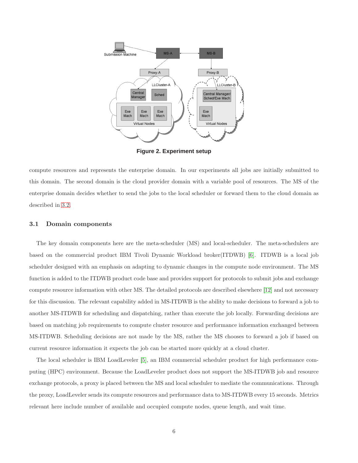

<span id="page-6-0"></span>**Figure 2. Experiment setup**

compute resources and represents the enterprise domain. In our experiments all jobs are initially submitted to this domain. The second domain is the cloud provider domain with a variable pool of resources. The MS of the enterprise domain decides whether to send the jobs to the local scheduler or forward them to the cloud domain as described in [3.2.](#page-7-0)

#### 3.1 Domain components

The key domain components here are the meta-scheduler (MS) and local-scheduler. The meta-schedulers are based on the commercial product IBM Tivoli Dynamic Workload broker(ITDWB) [\[6\]](#page-16-13). ITDWB is a local job scheduler designed with an emphasis on adapting to dynamic changes in the compute node environment. The MS function is added to the ITDWB product code base and provides support for protocols to submit jobs and exchange compute resource information with other MS. The detailed protocols are described elsewhere [\[12\]](#page-16-14) and not necessary for this discussion. The relevant capability added in MS-ITDWB is the ability to make decisions to forward a job to another MS-ITDWB for scheduling and dispatching, rather than execute the job locally. Forwarding decisions are based on matching job requirements to compute cluster resource and performance information exchanged between MS-ITDWB. Scheduling decisions are not made by the MS, rather the MS chooses to forward a job if based on current resource information it expects the job can be started more quickly at a cloud cluster.

The local scheduler is IBM LoadLeveler [\[5\]](#page-16-15), an IBM commercial scheduler product for high performance computing (HPC) environment. Because the LoadLeveler product does not support the MS-ITDWB job and resource exchange protocols, a proxy is placed between the MS and local scheduler to mediate the communications. Through the proxy, LoadLeveler sends its compute resources and performance data to MS-ITDWB every 15 seconds. Metrics relevant here include number of available and occupied compute nodes, queue length, and wait time.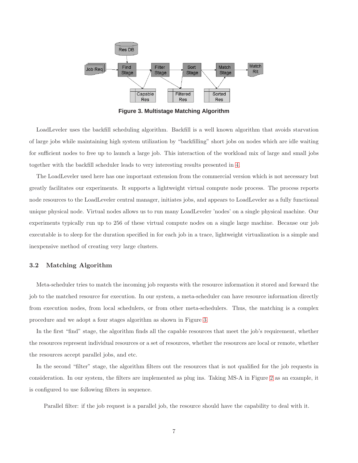

<span id="page-7-1"></span>**Figure 3. Multistage Matching Algorithm**

LoadLeveler uses the backfill scheduling algorithm. Backfill is a well known algorithm that avoids starvation of large jobs while maintaining high system utilization by "backfilling" short jobs on nodes which are idle waiting for sufficient nodes to free up to launch a large job. This interaction of the workload mix of large and small jobs together with the backfill scheduler leads to very interesting results presented in [4.](#page-8-0)

The LoadLeveler used here has one important extension from the commercial version which is not necessary but greatly facilitates our experiments. It supports a lightweight virtual compute node process. The process reports node resources to the LoadLeveler central manager, initiates jobs, and appears to LoadLeveler as a fully functional unique physical node. Virtual nodes allows us to run many LoadLeveler 'nodes' on a single physical machine. Our experiments typically run up to 256 of these virtual compute nodes on a single large machine. Because our job executable is to sleep for the duration specified in for each job in a trace, lightweight virtualization is a simple and inexpensive method of creating very large clusters.

#### <span id="page-7-0"></span>3.2 Matching Algorithm

Meta-scheduler tries to match the incoming job requests with the resource information it stored and forward the job to the matched resource for execution. In our system, a meta-scheduler can have resource information directly from execution nodes, from local schedulers, or from other meta-schedulers. Thus, the matching is a complex procedure and we adopt a four stages algorithm as shown in Figure [3.](#page-7-1)

In the first "find" stage, the algorithm finds all the capable resources that meet the job's requirement, whether the resources represent individual resources or a set of resources, whether the resources are local or remote, whether the resources accept parallel jobs, and etc.

In the second "filter" stage, the algorithm filters out the resources that is not qualified for the job requests in consideration. In our system, the filters are implemented as plug ins. Taking MS-A in Figure [2](#page-6-0) as an example, it is configured to use following filters in sequence.

Parallel filter: if the job request is a parallel job, the resource should have the capability to deal with it.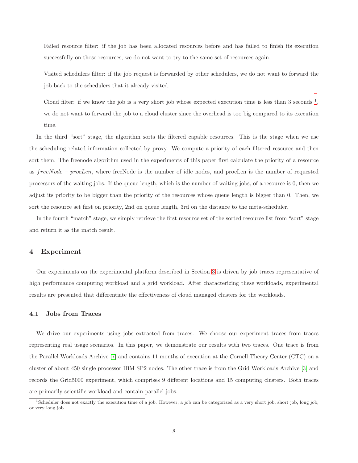Failed resource filter: if the job has been allocated resources before and has failed to finish its execution successfully on those resources, we do not want to try to the same set of resources again.

Visited schedulers filter: if the job request is forwarded by other schedulers, we do not want to forward the job back to the schedulers that it already visited.

Cloud filter: if we know the job is a very short job whose expected execution time is less than 3 seconds  $\frac{1}{2}$  $\frac{1}{2}$  $\frac{1}{2}$ , we do not want to forward the job to a cloud cluster since the overhead is too big compared to its execution time.

In the third "sort" stage, the algorithm sorts the filtered capable resources. This is the stage when we use the scheduling related information collected by proxy. We compute a priority of each filtered resource and then sort them. The freenode algorithm used in the experiments of this paper first calculate the priority of a resource as freeNode − procLen, where freeNode is the number of idle nodes, and procLen is the number of requested processors of the waiting jobs. If the queue length, which is the number of waiting jobs, of a resource is 0, then we adjust its priority to be bigger than the priority of the resources whose queue length is bigger than 0. Then, we sort the resource set first on priority, 2nd on queue length, 3rd on the distance to the meta-scheduler.

<span id="page-8-0"></span>In the fourth "match" stage, we simply retrieve the first resource set of the sorted resource list from "sort" stage and return it as the match result.

#### 4 Experiment

Our experiments on the experimental platform described in Section [3](#page-5-0) is driven by job traces representative of high performance computing workload and a grid workload. After characterizing these workloads, experimental results are presented that differentiate the effectiveness of cloud managed clusters for the workloads.

#### 4.1 Jobs from Traces

We drive our experiments using jobs extracted from traces. We choose our experiment traces from traces representing real usage scenarios. In this paper, we demonstrate our results with two traces. One trace is from the Parallel Workloads Archive [\[7\]](#page-16-16) and contains 11 months of execution at the Cornell Theory Center (CTC) on a cluster of about 450 single processor IBM SP2 nodes. The other trace is from the Grid Workloads Archive [\[3\]](#page-16-17) and records the Grid5000 experiment, which comprises 9 different locations and 15 computing clusters. Both traces are primarily scientific workload and contain parallel jobs.

<span id="page-8-1"></span><sup>1</sup>Scheduler does not exactly the execution time of a job. However, a job can be categorized as a very short job, short job, long job, or very long job.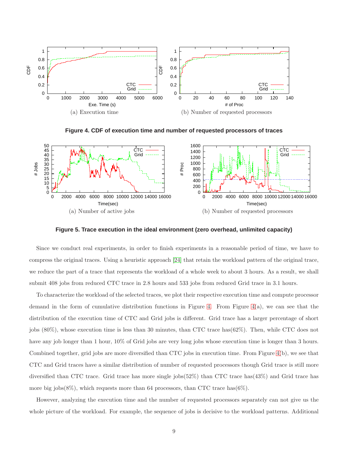

<span id="page-9-0"></span>**Figure 4. CDF of execution time and number of requested processors of traces**



<span id="page-9-1"></span>**Figure 5. Trace execution in the ideal environment (zero overhead, unlimited capacity)**

Since we conduct real experiments, in order to finish experiments in a reasonable period of time, we have to compress the original traces. Using a heuristic approach [\[24\]](#page-17-7) that retain the workload pattern of the original trace, we reduce the part of a trace that represents the workload of a whole week to about 3 hours. As a result, we shall submit 408 jobs from reduced CTC trace in 2.8 hours and 533 jobs from reduced Grid trace in 3.1 hours.

To characterize the workload of the selected traces, we plot their respective execution time and compute processor demand in the form of cumulative distribution functions in Figure [4.](#page-9-0) From Figure [4\(](#page-9-0)a), we can see that the distribution of the execution time of CTC and Grid jobs is different. Grid trace has a larger percentage of short jobs (80%), whose execution time is less than 30 minutes, than CTC trace has(62%). Then, while CTC does not have any job longer than 1 hour,  $10\%$  of Grid jobs are very long jobs whose execution time is longer than 3 hours. Combined together, grid jobs are more diversified than CTC jobs in execution time. From Figure [4\(](#page-9-0)b), we see that CTC and Grid traces have a similar distribution of number of requested processors though Grid trace is still more diversified than CTC trace. Grid trace has more single jobs(52%) than CTC trace has(43%) and Grid trace has more big jobs(8%), which requests more than 64 processors, than CTC trace has(6%).

However, analyzing the execution time and the number of requested processors separately can not give us the whole picture of the workload. For example, the sequence of jobs is decisive to the workload patterns. Additional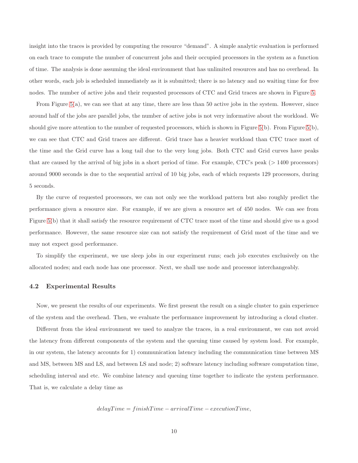insight into the traces is provided by computing the resource "demand". A simple analytic evaluation is performed on each trace to compute the number of concurrent jobs and their occupied processors in the system as a function of time. The analysis is done assuming the ideal environment that has unlimited resources and has no overhead. In other words, each job is scheduled immediately as it is submitted; there is no latency and no waiting time for free nodes. The number of active jobs and their requested processors of CTC and Grid traces are shown in Figure [5.](#page-9-1)

From Figure  $5(a)$ , we can see that at any time, there are less than 50 active jobs in the system. However, since around half of the jobs are parallel jobs, the number of active jobs is not very informative about the workload. We should give more attention to the number of requested processors, which is shown in Figure [5\(](#page-9-1)b). From Figure 5(b), we can see that CTC and Grid traces are different. Grid trace has a heavier workload than CTC trace most of the time and the Grid curve has a long tail due to the very long jobs. Both CTC and Grid curves have peaks that are caused by the arrival of big jobs in a short period of time. For example, CTC's peak (> 1400 processors) around 9000 seconds is due to the sequential arrival of 10 big jobs, each of which requests 129 processors, during 5 seconds.

By the curve of requested processors, we can not only see the workload pattern but also roughly predict the performance given a resource size. For example, if we are given a resource set of 450 nodes. We can see from Figure [5\(](#page-9-1)b) that it shall satisfy the resource requirement of CTC trace most of the time and should give us a good performance. However, the same resource size can not satisfy the requirement of Grid most of the time and we may not expect good performance.

To simplify the experiment, we use sleep jobs in our experiment runs; each job executes exclusively on the allocated nodes; and each node has one processor. Next, we shall use node and processor interchangeably.

#### 4.2 Experimental Results

Now, we present the results of our experiments. We first present the result on a single cluster to gain experience of the system and the overhead. Then, we evaluate the performance improvement by introducing a cloud cluster.

Different from the ideal environment we used to analyze the traces, in a real environment, we can not avoid the latency from different components of the system and the queuing time caused by system load. For example, in our system, the latency accounts for 1) communication latency including the communication time between MS and MS, between MS and LS, and between LS and node; 2) software latency including software computation time, scheduling interval and etc. We combine latency and queuing time together to indicate the system performance. That is, we calculate a delay time as

$$
delayTime = finishTime - arrivalTime - executionTime,
$$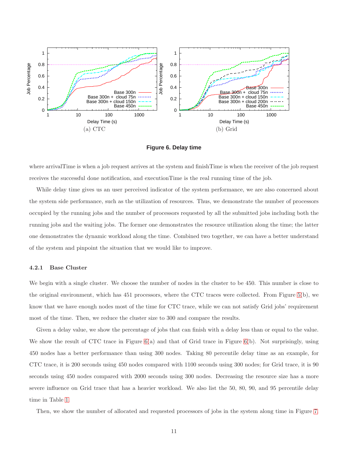

<span id="page-11-0"></span>**Figure 6. Delay time**

where arrivalTime is when a job request arrives at the system and finishTime is when the receiver of the job request receives the successful done notification, and executionTime is the real running time of the job.

While delay time gives us an user perceived indicator of the system performance, we are also concerned about the system side performance, such as the utilization of resources. Thus, we demonstrate the number of processors occupied by the running jobs and the number of processors requested by all the submitted jobs including both the running jobs and the waiting jobs. The former one demonstrates the resource utilization along the time; the latter one demonstrates the dynamic workload along the time. Combined two together, we can have a better understand of the system and pinpoint the situation that we would like to improve.

#### 4.2.1 Base Cluster

We begin with a single cluster. We choose the number of nodes in the cluster to be 450. This number is close to the original environment, which has 451 processors, where the CTC traces were collected. From Figure [5\(](#page-9-1)b), we know that we have enough nodes most of the time for CTC trace, while we can not satisfy Grid jobs' requirement most of the time. Then, we reduce the cluster size to 300 and compare the results.

Given a delay value, we show the percentage of jobs that can finish with a delay less than or equal to the value. We show the result of CTC trace in Figure [6\(](#page-11-0)a) and that of Grid trace in Figure 6(b). Not surprisingly, using 450 nodes has a better performance than using 300 nodes. Taking 80 percentile delay time as an example, for CTC trace, it is 200 seconds using 450 nodes compared with 1100 seconds using 300 nodes; for Grid trace, it is 90 seconds using 450 nodes compared with 2000 seconds using 300 nodes. Decreasing the resource size has a more severe influence on Grid trace that has a heavier workload. We also list the 50, 80, 90, and 95 percentile delay time in Table [1.](#page-13-0)

Then, we show the number of allocated and requested processors of jobs in the system along time in Figure [7.](#page-12-0)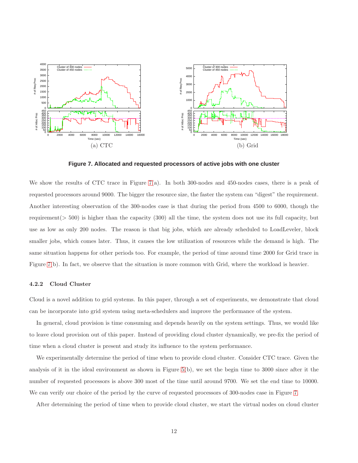

<span id="page-12-0"></span>**Figure 7. Allocated and requested processors of active jobs with one cluster**

We show the results of CTC trace in Figure [7\(](#page-12-0)a). In both 300-nodes and 450-nodes cases, there is a peak of requested processors around 9000. The bigger the resource size, the faster the system can "digest" the requirement. Another interesting observation of the 300-nodes case is that during the period from 4500 to 6000, though the requirement( $> 500$ ) is higher than the capacity (300) all the time, the system does not use its full capacity, but use as low as only 200 nodes. The reason is that big jobs, which are already scheduled to LoadLeveler, block smaller jobs, which comes later. Thus, it causes the low utilization of resources while the demand is high. The same situation happens for other periods too. For example, the period of time around time 2000 for Grid trace in Figure [7\(](#page-12-0)b). In fact, we observe that the situation is more common with Grid, where the workload is heavier.

#### 4.2.2 Cloud Cluster

Cloud is a novel addition to grid systems. In this paper, through a set of experiments, we demonstrate that cloud can be incorporate into grid system using meta-schedulers and improve the performance of the system.

In general, cloud provision is time consuming and depends heavily on the system settings. Thus, we would like to leave cloud provision out of this paper. Instead of providing cloud cluster dynamically, we pre-fix the period of time when a cloud cluster is present and study its influence to the system performance.

We experimentally determine the period of time when to provide cloud cluster. Consider CTC trace. Given the analysis of it in the ideal environment as shown in Figure [5\(](#page-9-1)b), we set the begin time to 3000 since after it the number of requested processors is above 300 most of the time until around 9700. We set the end time to 10000. We can verify our choice of the period by the curve of requested processors of 300-nodes case in Figure [7.](#page-12-0)

After determining the period of time when to provide cloud cluster, we start the virtual nodes on cloud cluster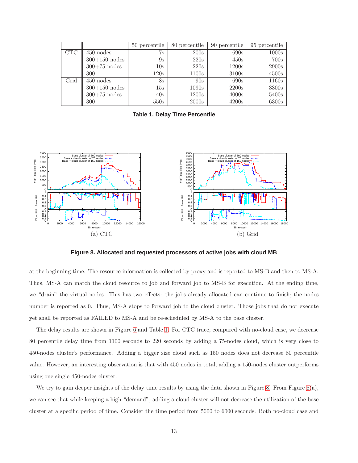|            |                 | 50 percentile   | 80 percentile | 90 percentile | 95 percentile |
|------------|-----------------|-----------------|---------------|---------------|---------------|
| <b>CTC</b> | $450$ nodes     | 7s              | 200s          | 690s          | 1000s         |
|            | $300+150$ nodes | 9s              | 220s          | 450s          | 700s          |
|            | $300+75$ nodes  | 10 <sub>s</sub> | 220s          | 1200s         | 2900s         |
|            | 300             | 120s            | 1100s         | 3100s         | 4500s         |
| Grid       | $450$ nodes     | 8s              | 90s           | 690s          | 1160s         |
|            | $300+150$ nodes | 15s             | 1090s         | 2200s         | 3300s         |
|            | $300+75$ nodes  | 40s             | 1200s         | 4000s         | 5400s         |
|            | 300             | 550s            | 2000s         | 4200s         | 6300s         |

<span id="page-13-0"></span>**Table 1. Delay Time Percentile**



<span id="page-13-1"></span>**Figure 8. Allocated and requested processors of active jobs with cloud MB**

at the beginning time. The resource information is collected by proxy and is reported to MS-B and then to MS-A. Thus, MS-A can match the cloud resource to job and forward job to MS-B for execution. At the ending time, we "drain" the virtual nodes. This has two effects: the jobs already allocated can continue to finish; the nodes number is reported as 0. Thus, MS-A stops to forward job to the cloud cluster. Those jobs that do not execute yet shall be reported as FAILED to MS-A and be re-scheduled by MS-A to the base cluster.

The delay results are shown in Figure [6](#page-11-0) and Table [1.](#page-13-0) For CTC trace, compared with no-cloud case, we decrease 80 percentile delay time from 1100 seconds to 220 seconds by adding a 75-nodes cloud, which is very close to 450-nodes cluster's performance. Adding a bigger size cloud such as 150 nodes does not decrease 80 percentile value. However, an interesting observation is that with 450 nodes in total, adding a 150-nodes cluster outperforms using one single 450-nodes cluster.

We try to gain deeper insights of the delay time results by using the data shown in Figure [8.](#page-13-1) From Figure [8\(](#page-13-1)a), we can see that while keeping a high "demand", adding a cloud cluster will not decrease the utilization of the base cluster at a specific period of time. Consider the time period from 5000 to 6000 seconds. Both no-cloud case and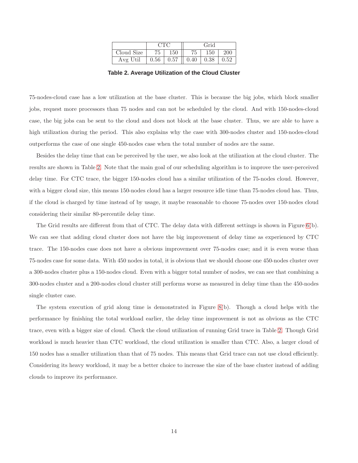|            | CTC  |      | Grid |      |      |
|------------|------|------|------|------|------|
| Cloud Size |      | 150  |      | 150  | 200  |
| Avg Util   | 0.56 | 0.57 | 0.40 | 0.38 | 0.52 |

<span id="page-14-0"></span>**Table 2. Average Utilization of the Cloud Cluster**

75-nodes-cloud case has a low utilization at the base cluster. This is because the big jobs, which block smaller jobs, request more processors than 75 nodes and can not be scheduled by the cloud. And with 150-nodes-cloud case, the big jobs can be sent to the cloud and does not block at the base cluster. Thus, we are able to have a high utilization during the period. This also explains why the case with 300-nodes cluster and 150-nodes-cloud outperforms the case of one single 450-nodes case when the total number of nodes are the same.

Besides the delay time that can be perceived by the user, we also look at the utilization at the cloud cluster. The results are shown in Table [2.](#page-14-0) Note that the main goal of our scheduling algorithm is to improve the user-perceived delay time. For CTC trace, the bigger 150-nodes cloud has a similar utilization of the 75-nodes cloud. However, with a bigger cloud size, this means 150-nodes cloud has a larger resource idle time than 75-nodes cloud has. Thus, if the cloud is charged by time instead of by usage, it maybe reasonable to choose 75-nodes over 150-nodes cloud considering their similar 80-percentile delay time.

The Grid results are different from that of CTC. The delay data with different settings is shown in Figure [6\(](#page-11-0)b). We can see that adding cloud cluster does not have the big improvement of delay time as experienced by CTC trace. The 150-nodes case does not have a obvious improvement over 75-nodes case; and it is even worse than 75-nodes case for some data. With 450 nodes in total, it is obvious that we should choose one 450-nodes cluster over a 300-nodes cluster plus a 150-nodes cloud. Even with a bigger total number of nodes, we can see that combining a 300-nodes cluster and a 200-nodes cloud cluster still performs worse as measured in delay time than the 450-nodes single cluster case.

The system execution of grid along time is demonstrated in Figure [8\(](#page-13-1)b). Though a cloud helps with the performance by finishing the total workload earlier, the delay time improvement is not as obvious as the CTC trace, even with a bigger size of cloud. Check the cloud utilization of running Grid trace in Table [2.](#page-14-0) Though Grid workload is much heavier than CTC workload, the cloud utilization is smaller than CTC. Also, a larger cloud of 150 nodes has a smaller utilization than that of 75 nodes. This means that Grid trace can not use cloud efficiently. Considering its heavy workload, it may be a better choice to increase the size of the base cluster instead of adding clouds to improve its performance.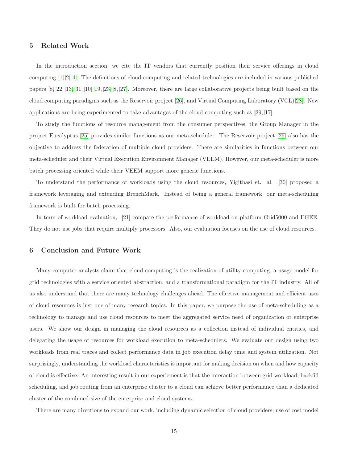# <span id="page-15-0"></span>5 Related Work

In the introduction section, we cite the IT vendors that currently position their service offerings in cloud computing [\[1,](#page-16-0) [2,](#page-16-1) [4\]](#page-16-2). The definitions of cloud computing and related technologies are included in various published papers [\[8,](#page-16-3) [22,](#page-17-0) [13,](#page-16-4) [31,](#page-17-1) [10,](#page-16-5) [19,](#page-17-2) [23,](#page-17-3) [8,](#page-16-3) [27\]](#page-17-5). Moreover, there are large collaborative projects being built based on the cloud computing paradigms such as the Reservoir project [\[26\]](#page-17-8), and Virtual Computing Laboratory (VCL)[\[28\]](#page-17-9). New applications are being experimented to take advantages of the cloud computing such as [\[29,](#page-17-6) [17\]](#page-16-8).

To study the functions of resource management from the consumer perspectives, the Group Manager in the project Eucalyptus [\[25\]](#page-17-10) provides similar functions as our meta-scheduler. The Reservoir project [\[26\]](#page-17-8) also has the objective to address the federation of multiple cloud providers. There are similarities in functions between our meta-scheduler and their Virtual Execution Environment Manager (VEEM). However, our meta-scheduler is more batch processing oriented while their VEEM support more generic functions.

To understand the performance of workloads using the cloud resources, Yigitbasi et. al. [\[30\]](#page-17-11) proposed a framework leveraging and extending BrenchMark. Instead of being a general framework, our meta-scheduling framework is built for batch processing.

<span id="page-15-1"></span>In term of workload evaluation, [\[21\]](#page-17-12) compare the performance of workload on platform Grid5000 and EGEE. They do not use jobs that require multiply processors. Also, our evaluation focuses on the use of cloud resources.

# 6 Conclusion and Future Work

Many computer analysts claim that cloud computing is the realization of utility computing, a usage model for grid technologies with a service oriented abstraction, and a transformational paradigm for the IT industry. All of us also understand that there are many technology challenges ahead. The effective management and efficient uses of cloud resources is just one of many research topics. In this paper, we purpose the use of meta-scheduling as a technology to manage and use cloud resources to meet the aggregated service need of organization or enterprise users. We show our design in managing the cloud resources as a collection instead of individual entities, and delegating the usage of resources for workload execution to meta-schedulers. We evaluate our design using two workloads from real traces and collect performance data in job execution delay time and system utilization. Not surprisingly, understanding the workload characteristics is important for making decision on when and how capacity of cloud is effective. An interesting result in our experiement is that the interaction between grid workload, backfill scheduling, and job routing from an enterprise cluster to a cloud can achieve better performance than a dedicated cluster of the combined size of the enterprise and cloud systems.

There are many directions to expand our work, including dynamic selection of cloud providers, use of cost model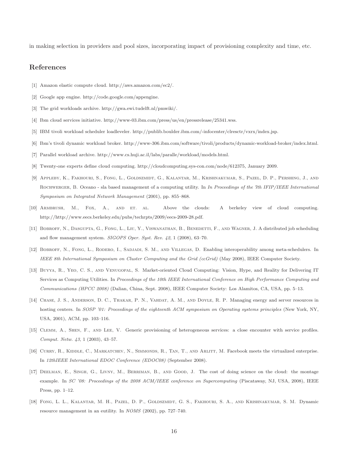in making selection in providers and pool sizes, incorporating impact of provisioning complexity and time, etc.

# <span id="page-16-0"></span>References

- <span id="page-16-1"></span>[1] Amazon elastic compute cloud. http://aws.amazon.com/ec2/.
- <span id="page-16-17"></span>[2] Google app engine. http://code.google.com/appengine.
- <span id="page-16-2"></span>[3] The grid workloads archive. http://gwa.ewi.tudelft.nl/pmwiki/.
- <span id="page-16-15"></span>[4] Ibm cloud services initiative. http://www-03.ibm.com/press/us/en/pressrelease/25341.wss.
- <span id="page-16-13"></span>[5] IBM tivoli workload scheduler loadleveler. http://publib.boulder.ibm.com/-infocenter/clresctr/vxrx/index.jsp.
- <span id="page-16-16"></span>[6] Ibm's tivoli dynamic workload broker. http://www-306.ibm.com/software/tivoli/products/dynamic-workload-broker/index.html.
- <span id="page-16-3"></span>[7] Parallel workload archive. http://www.cs.huji.ac.il/labs/paralle/workload/models.html.
- <span id="page-16-6"></span>[8] Twenty-one experts define cloud computing. http://cloudcomputing.sys-con.com/node/612375, January 2009.
- [9] Appleby, K., Fakhouri, S., Fong, L., Goldszmidt, G., Kalantar, M., Krishnakumar, S., Pazel, D. P., Pershing, J., and Rochwerger, B. Oceano - sla based management of a computing utility. In *In Proceedings of the 7th IFIP/IEEE International Symposium on Integrated Network Management* (2001), pp. 855–868.
- <span id="page-16-12"></span><span id="page-16-5"></span>[10] ARMBRUSH, M., FOX, A., AND ET. AL. Above the clouds: A berkeley view of cloud computing. http://http://www.eecs.berkeley.edu/pubs/techrpts/2009/eecs-2009-28.pdf.
- <span id="page-16-14"></span>[11] BOBROFF, N., DASGUPTA, G., FONG, L., LIU, Y., VISWANATHAN, B., BENEDETTI, F., AND WAGNER, J. A distributed job scheduling and flow management system. *SIGOPS Oper. Syst. Rev. 42*, 1 (2008), 63–70.
- <span id="page-16-4"></span>[12] Bobroff, N., Fong, L., Rodero, I., Sadjadi, S. M., and Villegas, D. Enabling interoperability among meta-schedulers. In *IEEE 8th International Symposium on Cluster Computing and the Grid (ccGrid)* (May 2008), IEEE Computer Society.
- [13] Buyya, R., Yeo, C. S., and Venugopal, S. Market-oriented Cloud Computing: Vision, Hype, and Reality for Delivering IT Services as Computing Utilities. In *Proceedings of the 10th IEEE International Conference on High Performance Computing and Communications (HPCC 2008)* (Dalian, China, Sept. 2008), IEEE Computer Society: Los Alamitos, CA, USA, pp. 5–13.
- <span id="page-16-7"></span>[14] Chase, J. S., Anderson, D. C., Thakar, P. N., Vahdat, A. M., and Doyle, R. P. Managing energy and server resources in hosting centers. In *SOSP '01: Proceedings of the eighteenth ACM symposium on Operating systems principles* (New York, NY, USA, 2001), ACM, pp. 103–116.
- <span id="page-16-11"></span><span id="page-16-9"></span>[15] Clemm, A., Shen, F., and Lee, V. Generic provisioning of heterogeneous services: a close encounter with service profiles. *Comput. Netw. 43*, 1 (2003), 43–57.
- <span id="page-16-8"></span>[16] CURRY, R., KIDDLE, C., MARKATCHEV, N., SIMMONDS, R., TAN, T., AND ARLITT, M. Facebook meets the virtualized enterprise. In *12thIEEE International EDOC Conference (EDOC08)* (September 2008).
- [17] Deelman, E., Singh, G., Livny, M., Berriman, B., and Good, J. The cost of doing science on the cloud: the montage example. In *SC '08: Proceedings of the 2008 ACM/IEEE conference on Supercomputing* (Piscataway, NJ, USA, 2008), IEEE Press, pp. 1–12.
- <span id="page-16-10"></span>[18] FONG, L. L., KALANTAR, M. H., PAZEL, D. P., GOLDSZMIDT, G. S., FAKHOURI, S. A., AND KRISHNAKUMAR, S. M. Dynamic resource management in an eutility. In *NOMS* (2002), pp. 727–740.